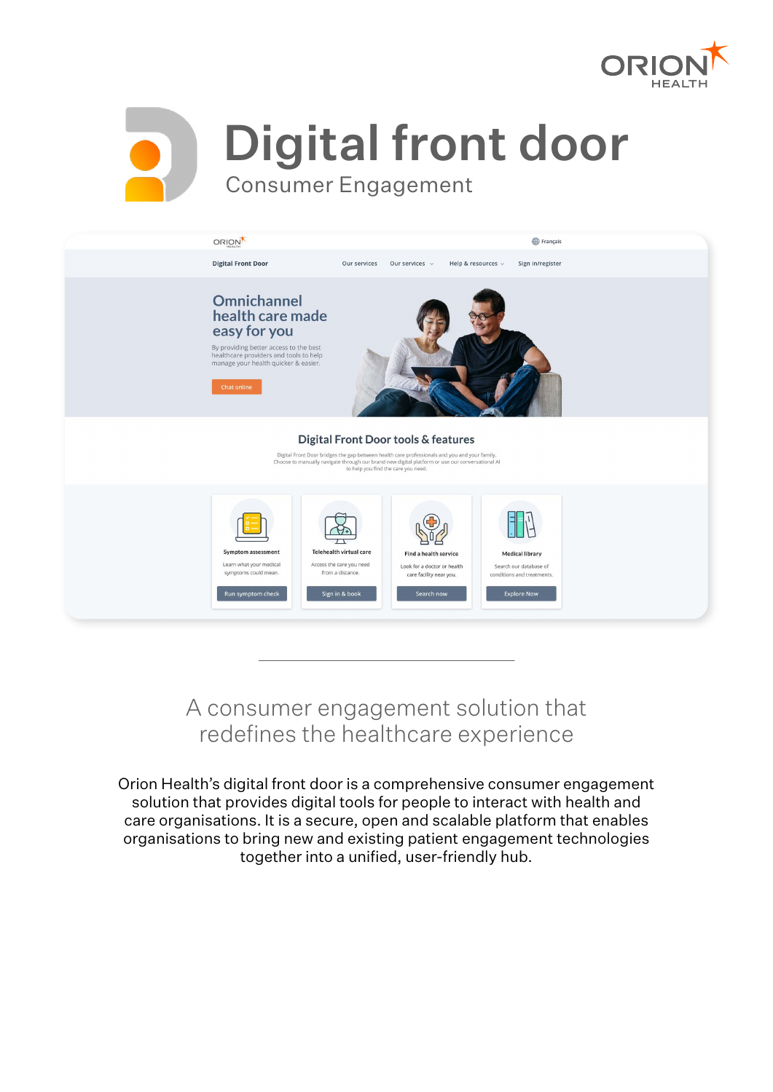



Digital front door

Consumer Engagement



A consumer engagement solution that redefines the healthcare experience

Orion Health's digital front door is a comprehensive consumer engagement solution that provides digital tools for people to interact with health and care organisations. It is a secure, open and scalable platform that enables organisations to bring new and existing patient engagement technologies together into a unified, user-friendly hub.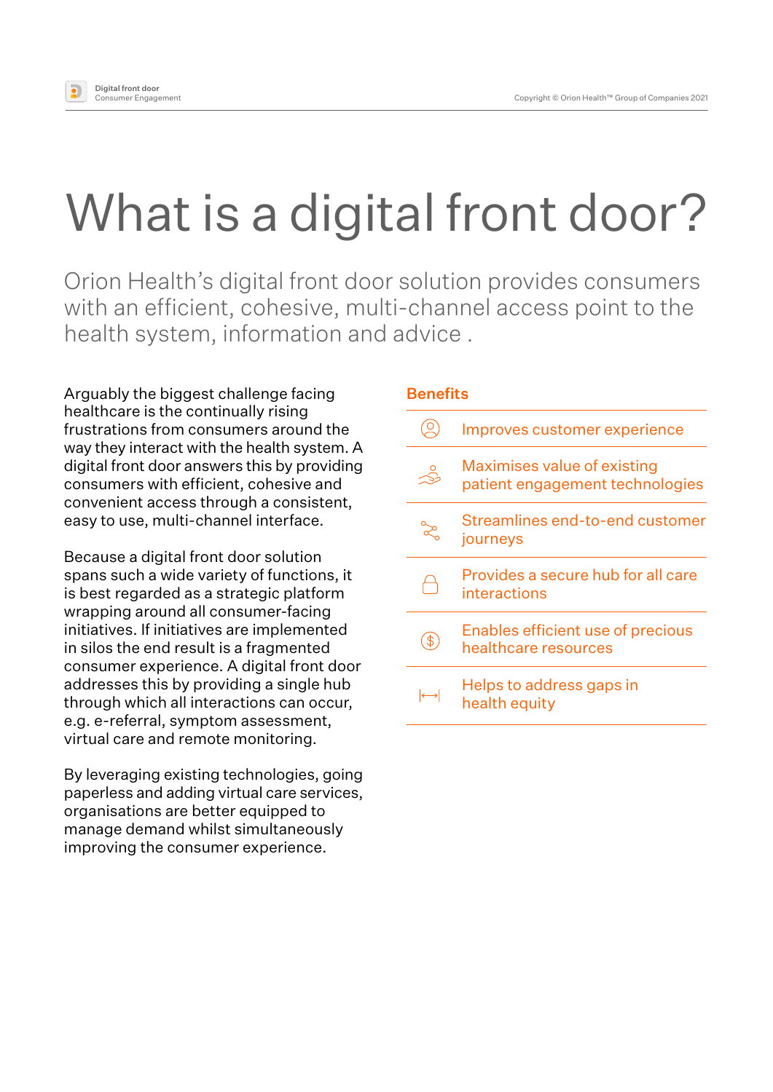

# What is a digital front door?

Orion Health's digital front door solution provides consumers with an efficient, cohesive, multi-channel access point to the health system, information and advice .

Arguably the biggest challenge facing **Benefits** healthcare is the continually rising frustrations from consumers around the way they interact with the health system. A digital front door answers this by providing consumers with efficient, cohesive and convenient access through a consistent, easy to use, multi-channel interface.

Because a digital front door solution spans such a wide variety of functions, it is best regarded as a strategic platform wrapping around all consumer-facing initiatives. If initiatives are implemented in silos the end result is a fragmented consumer experience. A digital front door addresses this by providing a single hub through which all interactions can occur, e.g. e-referral, symptom assessment, virtual care and remote monitoring.

By leveraging existing technologies, going paperless and adding virtual care services, organisations are better equipped to manage demand whilst simultaneously improving the consumer experience.

|                   | Improves customer experience                                   |
|-------------------|----------------------------------------------------------------|
|                   | Maximises value of existing<br>patient engagement technologies |
|                   | Streamlines end-to-end customer<br>journeys                    |
|                   | Provides a secure hub for all care<br>interactions             |
|                   | Enables efficient use of precious<br>healthcare resources      |
| $\leftrightarrow$ | Helps to address gaps in<br>health equity                      |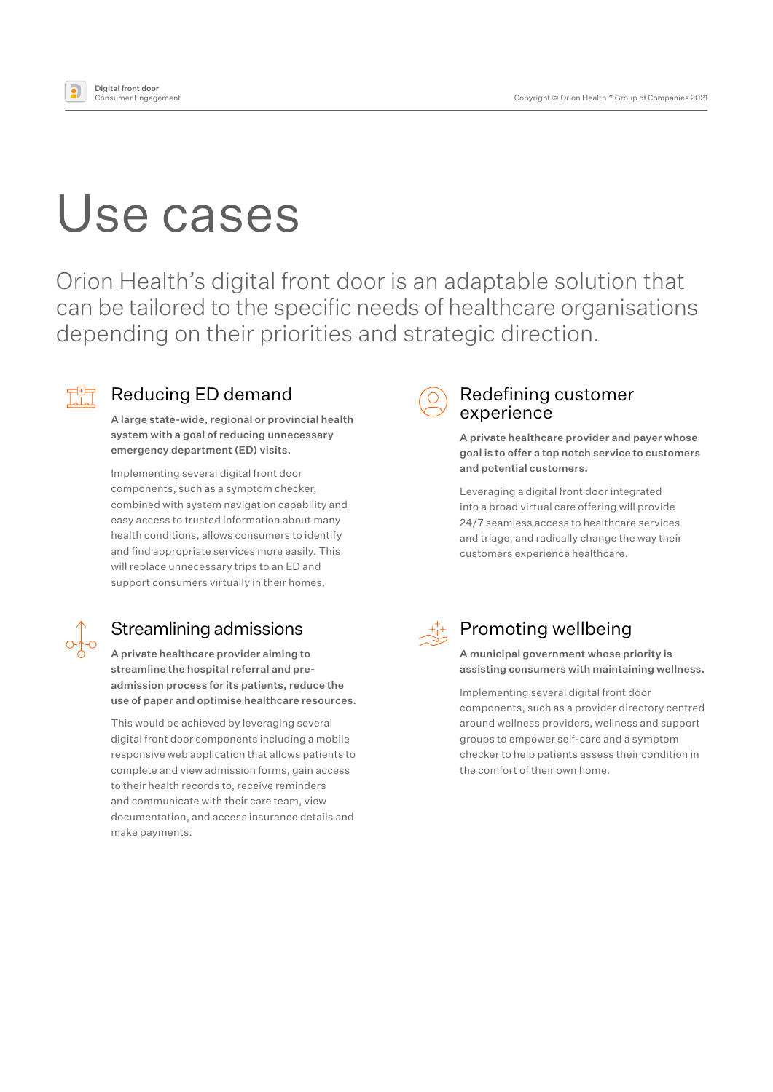

# Use cases

Orion Health's digital front door is an adaptable solution that can be tailored to the specific needs of healthcare organisations depending on their priorities and strategic direction.



### Reducing ED demand

A large state-wide, regional or provincial health system with a goal of reducing unnecessary emergency department (ED) visits.

Implementing several digital front door components, such as a symptom checker, combined with system navigation capability and easy access to trusted information about many health conditions, allows consumers to identify and find appropriate services more easily. This will replace unnecessary trips to an ED and support consumers virtually in their homes.



## Streamlining admissions

A private healthcare provider aiming to streamline the hospital referral and preadmission process for its patients, reduce the use of paper and optimise healthcare resources.

This would be achieved by leveraging several digital front door components including a mobile responsive web application that allows patients to complete and view admission forms, gain access to their health records to, receive reminders and communicate with their care team, view documentation, and access insurance details and make payments.



#### Redefining customer experience

A private healthcare provider and payer whose goal is to offer a top notch service to customers and potential customers.

Leveraging a digital front door integrated into a broad virtual care offering will provide 24/7 seamless access to healthcare services and triage, and radically change the way their customers experience healthcare.



## Promoting wellbeing

A municipal government whose priority is assisting consumers with maintaining wellness.

Implementing several digital front door components, such as a provider directory centred around wellness providers, wellness and support groups to empower self-care and a symptom checker to help patients assess their condition in the comfort of their own home.